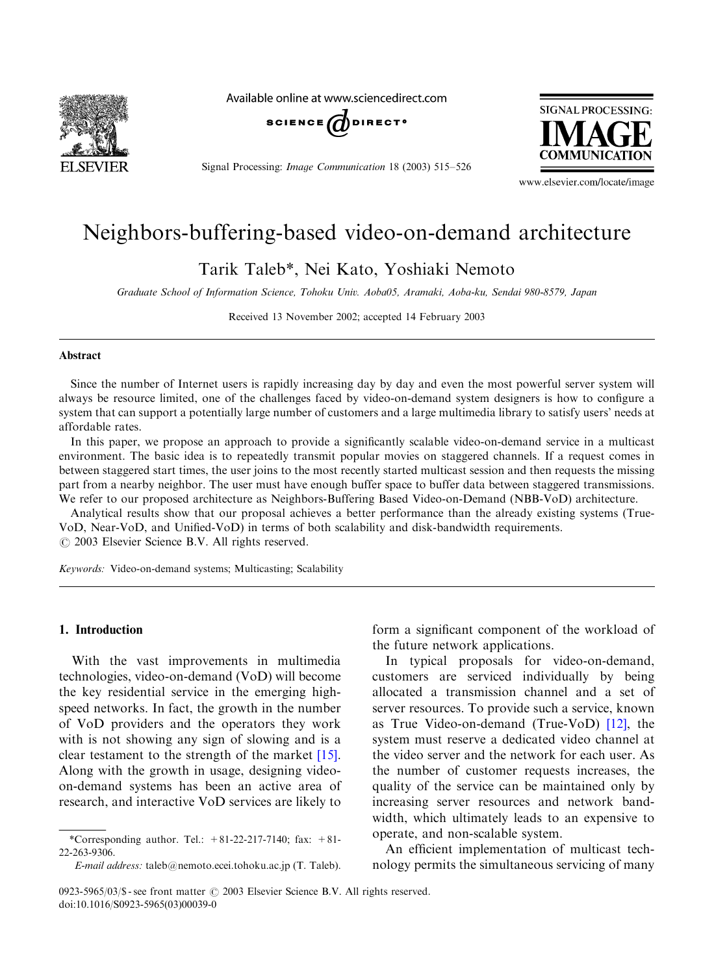

Available online at www.sciencedirect.com



Signal Processing: Image Communication 18 (2003) 515–526



www.elsevier.com/locate/image

# Neighbors-buffering-based video-on-demand architecture

Tarik Taleb\*, Nei Kato, Yoshiaki Nemoto

Graduate School of Information Science, Tohoku Univ. Aoba05, Aramaki, Aoba-ku, Sendai 980-8579, Japan

Received 13 November 2002; accepted 14 February 2003

#### Abstract

Since the number of Internet users is rapidly increasing day by day and even the most powerful server system will always be resource limited, one of the challenges faced by video-on-demand system designers is how to configure a system that can support a potentially large number of customers and a large multimedia library to satisfy users' needs at affordable rates.

In this paper, we propose an approach to provide a significantly scalable video-on-demand service in a multicast environment. The basic idea is to repeatedly transmit popular movies on staggered channels. If a request comes in between staggered start times, the user joins to the most recently started multicast session and then requests the missing part from a nearby neighbor. The user must have enough buffer space to buffer data between staggered transmissions. We refer to our proposed architecture as Neighbors-Buffering Based Video-on-Demand (NBB-VoD) architecture.

Analytical results show that our proposal achieves a better performance than the already existing systems (True-VoD, Near-VoD, and Unified-VoD) in terms of both scalability and disk-bandwidth requirements.  $\odot$  2003 Elsevier Science B.V. All rights reserved.

Keywords: Video-on-demand systems; Multicasting; Scalability

# 1. Introduction

With the vast improvements in multimedia technologies, video-on-demand (VoD) will become the key residential service in the emerging highspeed networks. In fact, the growth in the number of VoD providers and the operators they work with is not showing any sign of slowing and is a clear testament to the strength of the market [15]. Along with the growth in usage, designing videoon-demand systems has been an active area of research, and interactive VoD services are likely to

forma significant component of the workload of the future network applications.

In typical proposals for video-on-demand, customers are serviced individually by being allocated a transmission channel and a set of server resources. To provide such a service, known as True Video-on-demand (True-VoD) [12], the system must reserve a dedicated video channel at the video server and the network for each user. As the number of customer requests increases, the quality of the service can be maintained only by increasing server resources and network bandwidth, which ultimately leads to an expensive to operate, and non-scalable system.

An efficient implementation of multicast technology permits the simultaneous servicing of many

<sup>\*</sup>Corresponding author. Tel.:  $+81-22-217-7140$ ; fax:  $+81-$ 22-263-9306.

E-mail address: taleb@nemoto.ecei.tohoku.ac.jp (T. Taleb).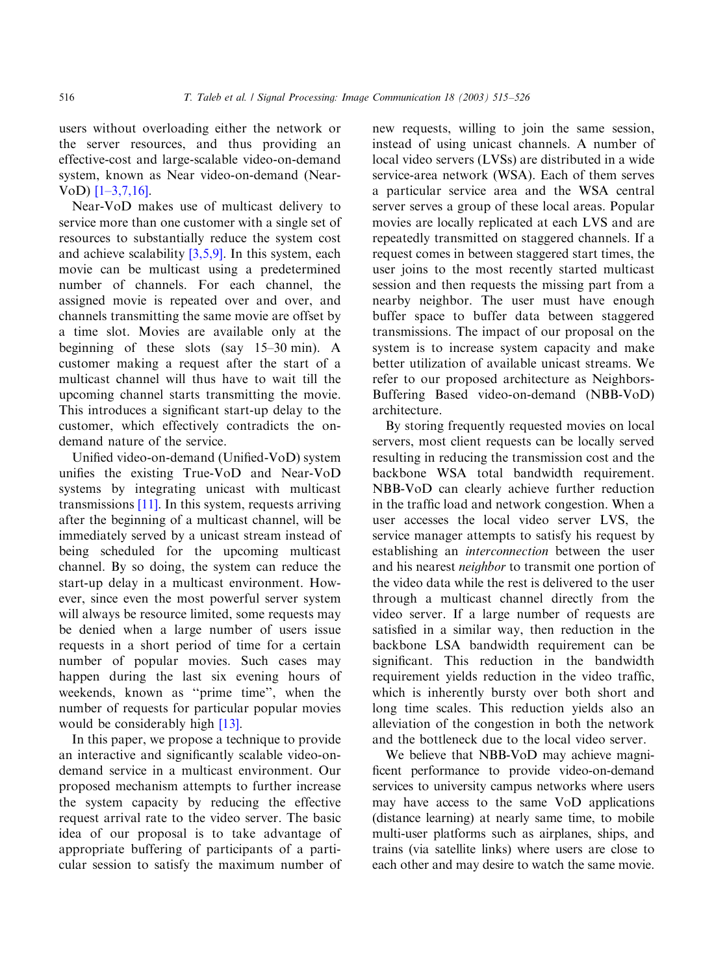users without overloading either the network or the server resources, and thus providing an effective-cost and large-scalable video-on-demand system, known as Near video-on-demand (Near-VoD) [1–3,7,16].

Near-VoD makes use of multicast delivery to service more than one customer with a single set of resources to substantially reduce the system cost and achieve scalability [3,5,9]. In this system, each movie can be multicast using a predetermined number of channels. For each channel, the assigned movie is repeated over and over, and channels transmitting the same movie are offset by a time slot. Movies are available only at the beginning of these slots (say 15–30 min). A customer making a request after the start of a multicast channel will thus have to wait till the upcoming channel starts transmitting the movie. This introduces a significant start-up delay to the customer, which effectively contradicts the ondemand nature of the service.

Unified video-on-demand (Unified-VoD) system unifies the existing True-VoD and Near-VoD systems by integrating unicast with multicast transmissions [11]. In this system, requests arriving after the beginning of a multicast channel, will be immediately served by a unicast stream instead of being scheduled for the upcoming multicast channel. By so doing, the system can reduce the start-up delay in a multicast environment. However, since even the most powerful server system will always be resource limited, some requests may be denied when a large number of users issue requests in a short period of time for a certain number of popular movies. Such cases may happen during the last six evening hours of weekends, known as ''prime time'', when the number of requests for particular popular movies would be considerably high [13].

In this paper, we propose a technique to provide an interactive and significantly scalable video-ondemand service in a multicast environment. Our proposed mechanism attempts to further increase the system capacity by reducing the effective request arrival rate to the video server. The basic idea of our proposal is to take advantage of appropriate buffering of participants of a particular session to satisfy the maximum number of new requests, willing to join the same session, instead of using unicast channels. A number of local video servers (LVSs) are distributed in a wide service-area network (WSA). Each of them serves a particular service area and the WSA central server serves a group of these local areas. Popular movies are locally replicated at each LVS and are repeatedly transmitted on staggered channels. If a request comes in between staggered start times, the user joins to the most recently started multicast session and then requests the missing part from a nearby neighbor. The user must have enough buffer space to buffer data between staggered transmissions. The impact of our proposal on the system is to increase system capacity and make better utilization of available unicast streams. We refer to our proposed architecture as Neighbors-Buffering Based video-on-demand (NBB-VoD) architecture.

By storing frequently requested movies on local servers, most client requests can be locally served resulting in reducing the transmission cost and the backbone WSA total bandwidth requirement. NBB-VoD can clearly achieve further reduction in the traffic load and network congestion. When a user accesses the local video server LVS, the service manager attempts to satisfy his request by establishing an interconnection between the user and his nearest neighbor to transmit one portion of the video data while the rest is delivered to the user through a multicast channel directly from the video server. If a large number of requests are satisfied in a similar way, then reduction in the backbone LSA bandwidth requirement can be significant. This reduction in the bandwidth requirement yields reduction in the video traffic, which is inherently bursty over both short and long time scales. This reduction yields also an alleviation of the congestion in both the network and the bottleneck due to the local video server.

We believe that NBB-VoD may achieve magnificent performance to provide video-on-demand services to university campus networks where users may have access to the same VoD applications (distance learning) at nearly same time, to mobile multi-user platforms such as airplanes, ships, and trains (via satellite links) where users are close to each other and may desire to watch the same movie.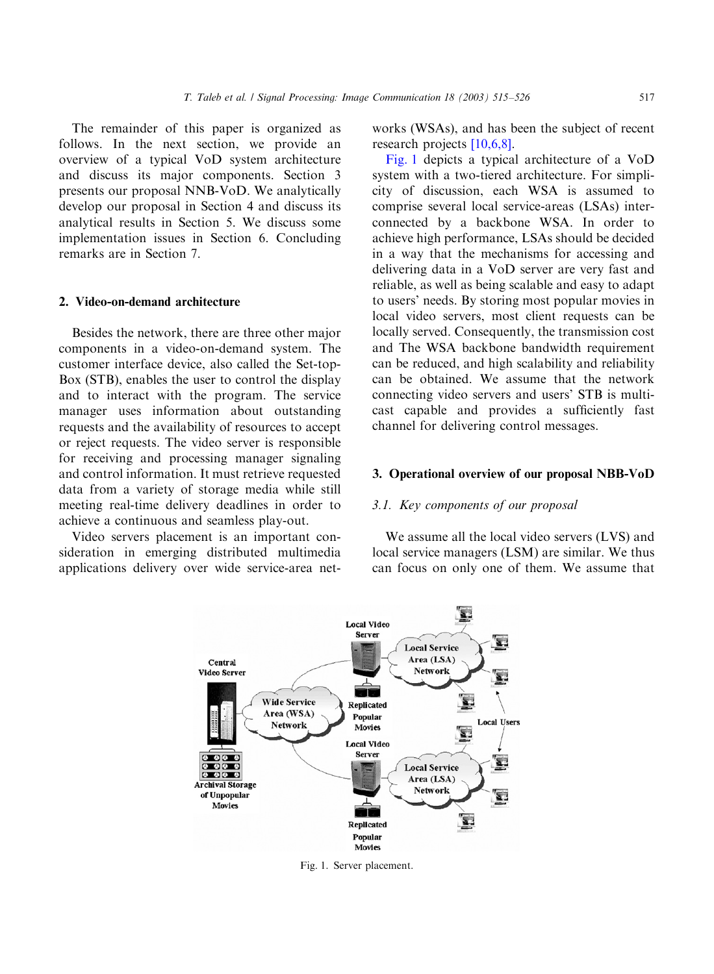The remainder of this paper is organized as follows. In the next section, we provide an overview of a typical VoD system architecture and discuss its major components. Section 3 presents our proposal NNB-VoD. We analytically develop our proposal in Section 4 and discuss its analytical results in Section 5. We discuss some implementation issues in Section 6. Concluding remarks are in Section 7.

## 2. Video-on-demand architecture

Besides the network, there are three other major components in a video-on-demand system. The customer interface device, also called the Set-top-Box (STB), enables the user to control the display and to interact with the program. The service manager uses information about outstanding requests and the availability of resources to accept or reject requests. The video server is responsible for receiving and processing manager signaling and control information. It must retrieve requested data from a variety of storage media while still meeting real-time delivery deadlines in order to achieve a continuous and seamless play-out.

Video servers placement is an important consideration in emerging distributed multimedia applications delivery over wide service-area networks (WSAs), and has been the subject of recent research projects [10,6,8].

Fig. 1 depicts a typical architecture of a VoD system with a two-tiered architecture. For simplicity of discussion, each WSA is assumed to comprise several local service-areas (LSAs) interconnected by a backbone WSA. In order to achieve high performance, LSAs should be decided in a way that the mechanisms for accessing and delivering data in a VoD server are very fast and reliable, as well as being scalable and easy to adapt to users' needs. By storing most popular movies in local video servers, most client requests can be locally served. Consequently, the transmission cost and The WSA backbone bandwidth requirement can be reduced, and high scalability and reliability can be obtained. We assume that the network connecting video servers and users' STB is multicast capable and provides a sufficiently fast channel for delivering control messages.

#### 3. Operational overview of our proposal NBB-VoD

# 3.1. Key components of our proposal

We assume all the local video servers (LVS) and local service managers (LSM) are similar. We thus can focus on only one of them. We assume that



Fig. 1. Server placement.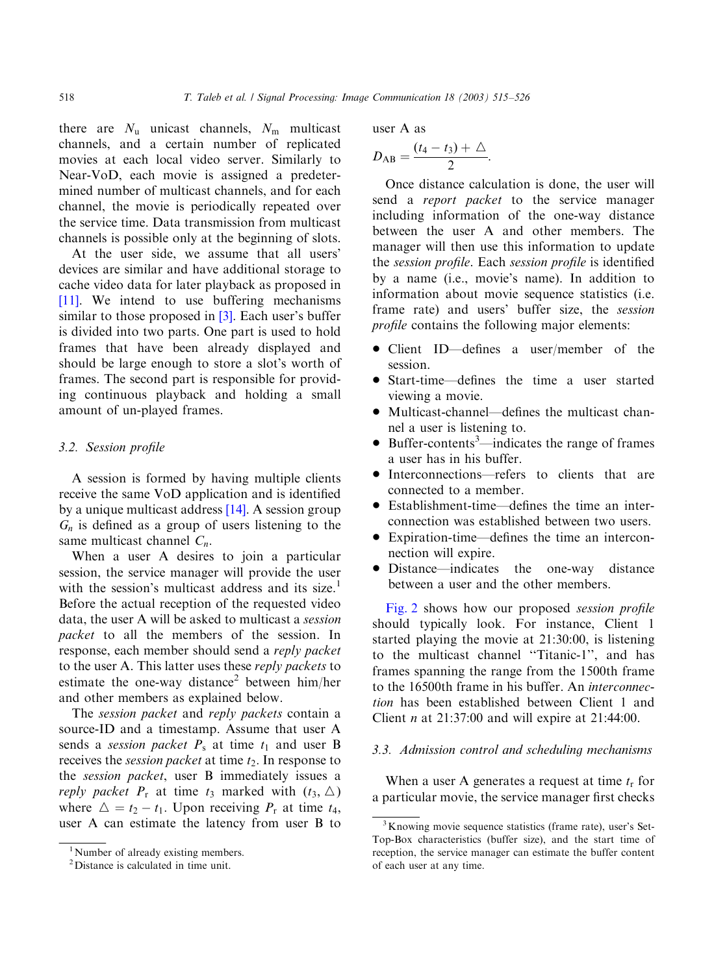there are  $N_{\rm u}$  unicast channels,  $N_{\rm m}$  multicast channels, and a certain number of replicated movies at each local video server. Similarly to Near-VoD, each movie is assigned a predetermined number of multicast channels, and for each channel, the movie is periodically repeated over the service time. Data transmission from multicast channels is possible only at the beginning of slots.

At the user side, we assume that all users' devices are similar and have additional storage to cache video data for later playback as proposed in [11]. We intend to use buffering mechanisms similar to those proposed in [3]. Each user's buffer is divided into two parts. One part is used to hold frames that have been already displayed and should be large enough to store a slot's worth of frames. The second part is responsible for providing continuous playback and holding a small amount of un-played frames.

#### 3.2. Session profile

A session is formed by having multiple clients receive the same VoD application and is identified by a unique multicast address [14]. A session group  $G_n$  is defined as a group of users listening to the same multicast channel  $C_n$ .

When a user A desires to join a particular session, the service manager will provide the user with the session's multicast address and its size.<sup>1</sup> Before the actual reception of the requested video data, the user A will be asked to multicast a session packet to all the members of the session. In response, each member should send a reply packet to the user A. This latter uses these reply packets to estimate the one-way distance<sup>2</sup> between him/her and other members as explained below.

The *session packet* and *reply packets* contain a source-ID and a timestamp. Assume that user A sends a session packet  $P_s$  at time  $t_1$  and user B receives the *session packet* at time  $t_2$ . In response to the session packet, user B immediately issues a reply packet  $P_r$  at time  $t_3$  marked with  $(t_3, \triangle)$ where  $\Delta = t_2 - t_1$ . Upon receiving  $P_r$  at time  $t_4$ , user A can estimate the latency from user B to user A as

$$
D_{AB}=\frac{(t_4-t_3)+\Delta}{2}.
$$

Once distance calculation is done, the user will send a report packet to the service manager including information of the one-way distance between the user A and other members. The manager will then use this information to update the session profile. Each session profile is identified by a name (i.e., movie's name). In addition to information about movie sequence statistics (i.e. frame rate) and users' buffer size, the session profile contains the following major elements:

- Client ID—defines a user/member of the session.
- Start-time—defines the time a user started viewing a movie.
- Multicast-channel—defines the multicast channel a user is listening to.
- $\bullet$  Buffer-contents<sup>3</sup>—indicates the range of frames a user has in his buffer.
- Interconnections—refers to clients that are connected to a member.
- Establishment-time—defines the time an interconnection was established between two users.
- Expiration-time—defines the time an interconnection will expire.
- Distance—indicates the one-way distance between a user and the other members.

Fig. 2 shows how our proposed session profile should typically look. For instance, Client 1 started playing the movie at 21:30:00, is listening to the multicast channel ''Titanic-1'', and has frames spanning the range from the 1500th frame to the 16500th frame in his buffer. An interconnection has been established between Client 1 and Client *n* at  $21:37:00$  and will expire at  $21:44:00$ .

#### 3.3. Admission control and scheduling mechanisms

When a user A generates a request at time  $t_r$  for a particular movie, the service manager first checks

<sup>&</sup>lt;sup>1</sup>Number of already existing members.

<sup>2</sup>Distance is calculated in time unit.

<sup>&</sup>lt;sup>3</sup>Knowing movie sequence statistics (frame rate), user's Set-Top-Box characteristics (buffer size), and the start time of reception, the service manager can estimate the buffer content of each user at any time.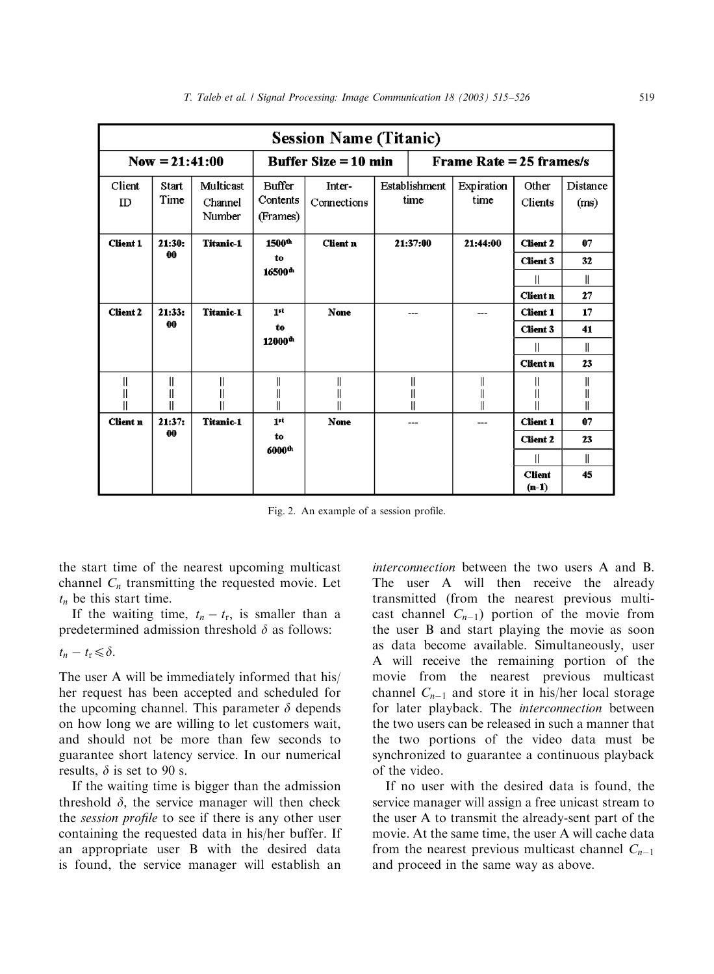| <b>Session Name (Titanic)</b> |                      |                                |                                           |                       |                       |                          |                         |                          |                               |  |
|-------------------------------|----------------------|--------------------------------|-------------------------------------------|-----------------------|-----------------------|--------------------------|-------------------------|--------------------------|-------------------------------|--|
| $Now = 21:41:00$              |                      |                                | Buffer Size $= 10$ min                    |                       |                       | Frame Rate = 25 frames/s |                         |                          |                               |  |
| Client<br>ID                  | <b>Start</b><br>Time | Multicast<br>Channel<br>Number | <b>Buffer</b><br>Contents<br>(Frames)     | Inter-<br>Connections | Establishment<br>time |                          | Expiration<br>time      | Other<br>Clients         | Distance<br>(m <sub>s</sub> ) |  |
| <b>Client 1</b>               | 21:30:               | <b>Titanic-1</b>               | 1500 <sup>th</sup>                        | Client n              | 21:37:00              |                          | 21:44:00                | <b>Client 2</b>          | 07                            |  |
|                               | 00                   |                                | to                                        |                       |                       |                          |                         | Client 3                 | 32                            |  |
|                               |                      |                                | 16500 <sup>th</sup>                       |                       |                       |                          |                         |                          | Ш                             |  |
|                               |                      |                                |                                           |                       |                       |                          |                         | Client n                 | 27                            |  |
| <b>Client 2</b>               | 21:33:               | <b>Titanic-1</b>               | 1st                                       | None                  |                       |                          |                         | Client 1                 | 17                            |  |
|                               | 00                   |                                | to                                        |                       |                       |                          |                         | <b>Client 3</b>          | 41                            |  |
|                               |                      |                                | 12000 <sup>th</sup>                       |                       |                       |                          |                         | II                       | Ш                             |  |
|                               |                      |                                |                                           |                       |                       |                          |                         | <b>Client</b> n          | 23                            |  |
| Ш<br>II                       | II<br>II             | $\mathbf{I}$<br>Ш              | $\parallel$<br>$\parallel$<br>$\parallel$ | Ш                     |                       | ║                        | $\parallel$<br>II<br>II |                          |                               |  |
| Client n                      | 21:37:               | <b>Titanic-1</b>               | 1st                                       | None                  |                       | ---                      |                         | <b>Client 1</b>          | 07                            |  |
|                               | 00                   |                                | to                                        |                       |                       |                          |                         | <b>Client 2</b>          | 23                            |  |
|                               |                      |                                | 6000 <sup>th</sup>                        |                       |                       |                          |                         | Ш                        | Ш                             |  |
|                               |                      |                                |                                           |                       |                       |                          |                         | <b>Client</b><br>$(n-1)$ | 45                            |  |

Fig. 2. An example of a session profile.

the start time of the nearest upcoming multicast channel  $C_n$  transmitting the requested movie. Let  $t_n$  be this start time.

If the waiting time,  $t_n - t_r$ , is smaller than a predetermined admission threshold  $\delta$  as follows:

$$
t_n-t_{\rm r}\leq \delta.
$$

The user A will be immediately informed that his/ her request has been accepted and scheduled for the upcoming channel. This parameter  $\delta$  depends on how long we are willing to let customers wait, and should not be more than few seconds to guarantee short latency service. In our numerical results,  $\delta$  is set to 90 s.

If the waiting time is bigger than the admission threshold  $\delta$ , the service manager will then check the session profile to see if there is any other user containing the requested data in his/her buffer. If an appropriate user B with the desired data is found, the service manager will establish an

interconnection between the two users A and B. The user A will then receive the already transmitted (from the nearest previous multicast channel  $C_{n-1}$ ) portion of the movie from the user B and start playing the movie as soon as data become available. Simultaneously, user A will receive the remaining portion of the movie from the nearest previous multicast channel  $C_{n-1}$  and store it in his/her local storage for later playback. The interconnection between the two users can be released in such a manner that the two portions of the video data must be synchronized to guarantee a continuous playback of the video.

If no user with the desired data is found, the service manager will assign a free unicast stream to the user A to transmit the already-sent part of the movie. At the same time, the user A will cache data from the nearest previous multicast channel  $C_{n-1}$ and proceed in the same way as above.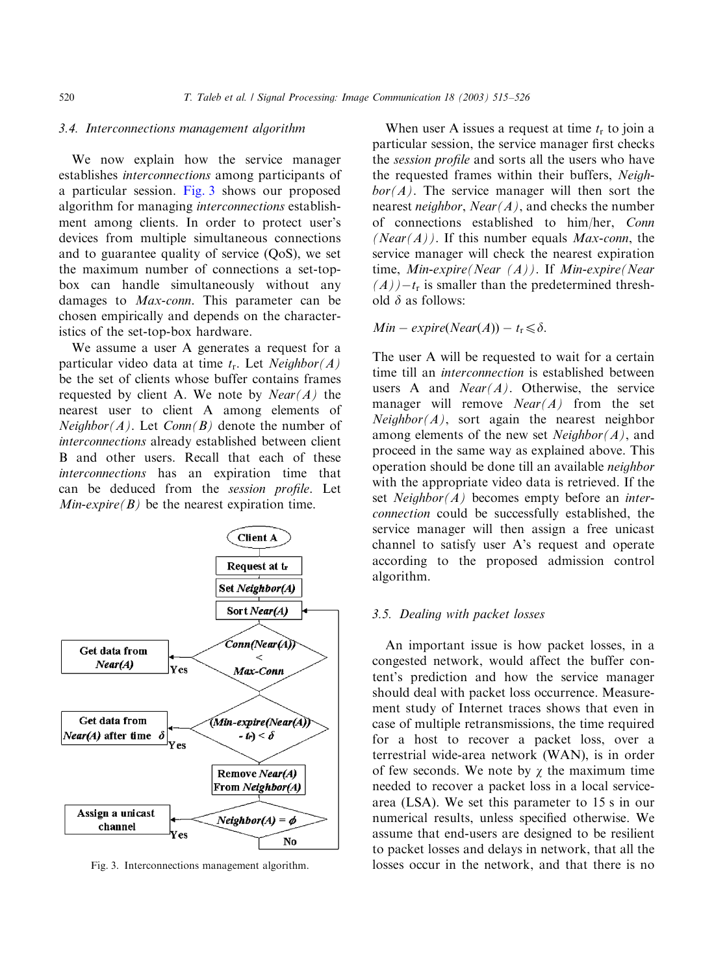# 3.4. Interconnections management algorithm

We now explain how the service manager establishes interconnections among participants of a particular session. Fig. 3 shows our proposed algorithm for managing *interconnections* establishment among clients. In order to protect user's devices from multiple simultaneous connections and to guarantee quality of service (QoS), we set the maximum number of connections a set-topbox can handle simultaneously without any damages to *Max-conn*. This parameter can be chosen empirically and depends on the characteristics of the set-top-box hardware.

We assume a user A generates a request for a particular video data at time  $t_r$ . Let *Neighbor(A)* be the set of clients whose buffer contains frames requested by client A. We note by  $Near(A)$  the nearest user to client A among elements of  $Neighbour(A)$ . Let  $Conn(B)$  denote the number of interconnections already established between client B and other users. Recall that each of these interconnections has an expiration time that can be deduced from the session profile. Let  $Min\text{-}expire(B)$  be the nearest expiration time.



Fig. 3. Interconnections management algorithm.

When user A issues a request at time  $t_r$  to join a particular session, the service manager first checks the session profile and sorts all the users who have the requested frames within their buffers, Neigh $bor(A)$ . The service manager will then sort the nearest *neighbor*, *Near*( $A$ ), and checks the number of connections established to him/her, Conn (*Near(A)*). If this number equals *Max-conn*, the service manager will check the nearest expiration time, Min-expire(Near  $(A)$ ). If Min-expire(Near  $(A)$ )- $t_r$  is smaller than the predetermined threshold  $\delta$  as follows:

# $Min - expire(Near(A)) - t_r \leq \delta.$

The user A will be requested to wait for a certain time till an interconnection is established between users A and  $Near(A)$ . Otherwise, the service manager will remove  $Near(A)$  from the set  $Neighbour(A)$ , sort again the nearest neighbor among elements of the new set  $Neichbor(A)$ , and proceed in the same way as explained above. This operation should be done till an available neighbor with the appropriate video data is retrieved. If the set  $Neighbour(A)$  becomes empty before an interconnection could be successfully established, the service manager will then assign a free unicast channel to satisfy user A's request and operate according to the proposed admission control algorithm.

# 3.5. Dealing with packet losses

An important issue is how packet losses, in a congested network, would affect the buffer content's prediction and how the service manager should deal with packet loss occurrence. Measurement study of Internet traces shows that even in case of multiple retransmissions, the time required for a host to recover a packet loss, over a terrestrial wide-area network (WAN), is in order of few seconds. We note by  $\chi$  the maximum time needed to recover a packet loss in a local servicearea (LSA). We set this parameter to 15 s in our numerical results, unless specified otherwise. We assume that end-users are designed to be resilient to packet losses and delays in network, that all the losses occur in the network, and that there is no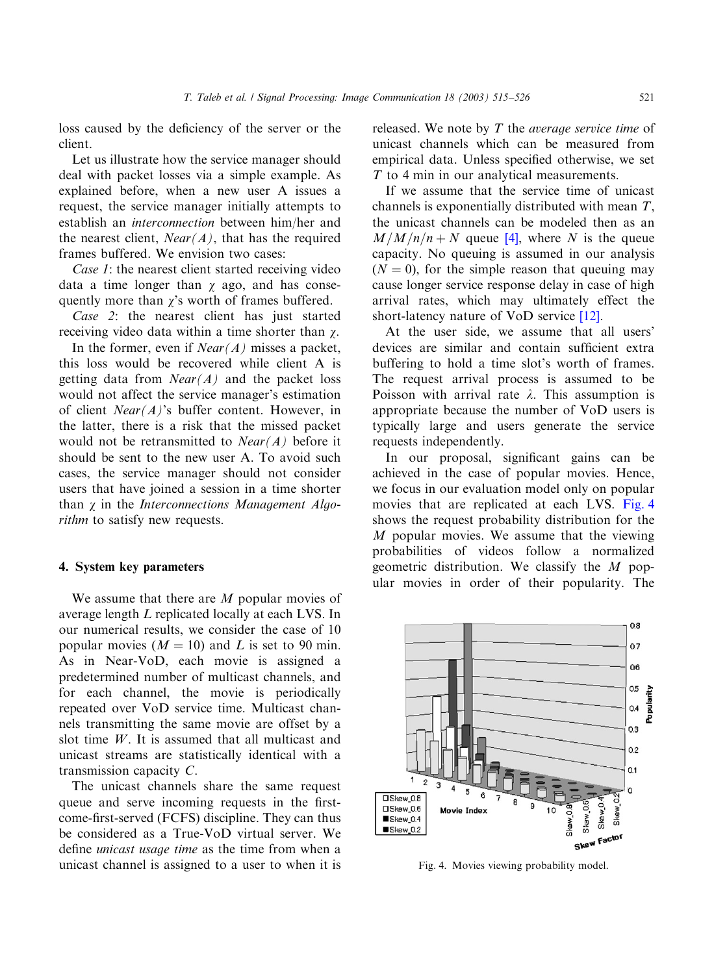loss caused by the deficiency of the server or the client.

Let us illustrate how the service manager should deal with packet losses via a simple example. As explained before, when a new user A issues a request, the service manager initially attempts to establish an interconnection between him/her and the nearest client,  $Near(A)$ , that has the required frames buffered. We envision two cases:

Case 1: the nearest client started receiving video data a time longer than  $\chi$  ago, and has consequently more than  $\chi$ 's worth of frames buffered.

Case 2: the nearest client has just started receiving video data within a time shorter than  $\gamma$ .

In the former, even if  $Near(A)$  misses a packet, this loss would be recovered while client A is getting data from  $Near(A)$  and the packet loss would not affect the service manager's estimation of client  $Near(A)$ 's buffer content. However, in the latter, there is a risk that the missed packet would not be retransmitted to  $Near(A)$  before it should be sent to the new user A. To avoid such cases, the service manager should not consider users that have joined a session in a time shorter than  $\chi$  in the *Interconnections Management Algo*rithm to satisfy new requests.

## 4. System key parameters

We assume that there are  $M$  popular movies of average length L replicated locally at each LVS. In our numerical results, we consider the case of 10 popular movies  $(M = 10)$  and L is set to 90 min. As in Near-VoD, each movie is assigned a predetermined number of multicast channels, and for each channel, the movie is periodically repeated over VoD service time. Multicast channels transmitting the same movie are offset by a slot time  $W$ . It is assumed that all multicast and unicast streams are statistically identical with a transmission capacity C:

The unicast channels share the same request queue and serve incoming requests in the firstcome-first-served (FCFS) discipline. They can thus be considered as a True-VoD virtual server. We define unicast usage time as the time from when a unicast channel is assigned to a user to when it is released. We note by  $T$  the *average service time* of unicast channels which can be measured from empirical data. Unless specified otherwise, we set T to 4 min in our analytical measurements.

If we assume that the service time of unicast channels is exponentially distributed with mean  $T$ . the unicast channels can be modeled then as an  $M/M/n/n+N$  queue [4], where N is the queue capacity. No queuing is assumed in our analysis  $(N = 0)$ , for the simple reason that queuing may cause longer service response delay in case of high arrival rates, which may ultimately effect the short-latency nature of VoD service [12].

At the user side, we assume that all users' devices are similar and contain sufficient extra buffering to hold a time slot's worth of frames. The request arrival process is assumed to be Poisson with arrival rate  $\lambda$ . This assumption is appropriate because the number of VoD users is typically large and users generate the service requests independently.

In our proposal, significant gains can be achieved in the case of popular movies. Hence, we focus in our evaluation model only on popular movies that are replicated at each LVS. Fig. 4 shows the request probability distribution for the  $M$  popular movies. We assume that the viewing probabilities of videos follow a normalized geometric distribution. We classify the  $M$  popular movies in order of their popularity. The



Fig. 4. Movies viewing probability model.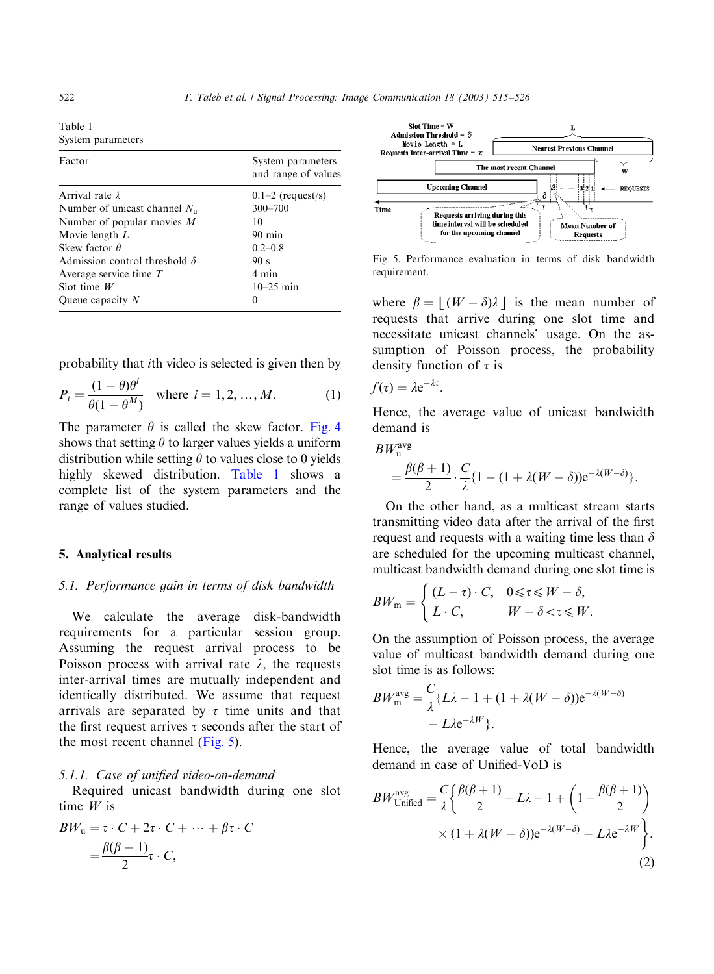Table 1 System parameters

| Factor                                | System parameters<br>and range of values |  |  |  |
|---------------------------------------|------------------------------------------|--|--|--|
| Arrival rate $\lambda$                | $0.1-2$ (request/s)                      |  |  |  |
| Number of unicast channel $N_{\rm u}$ | $300 - 700$                              |  |  |  |
| Number of popular movies $M$          | 10                                       |  |  |  |
| Movie length L                        | $90 \text{ min}$                         |  |  |  |
| Skew factor $\theta$                  | $0.2 - 0.8$                              |  |  |  |
| Admission control threshold $\delta$  | 90 s                                     |  |  |  |
| Average service time $T$              | 4 min                                    |  |  |  |
| Slot time $W$                         | $10 - 25$ min                            |  |  |  |
| Queue capacity $N$                    | $\Omega$                                 |  |  |  |

probability that ith video is selected is given then by

$$
P_i = \frac{(1 - \theta)\theta^i}{\theta(1 - \theta^M)}
$$
 where  $i = 1, 2, ..., M$ . (1)

The parameter  $\theta$  is called the skew factor. Fig. 4 shows that setting  $\theta$  to larger values yields a uniform distribution while setting  $\theta$  to values close to 0 yields highly skewed distribution. Table 1 shows a complete list of the system parameters and the range of values studied.

# 5. Analytical results

## 5.1. Performance gain in terms of disk bandwidth

We calculate the average disk-bandwidth requirements for a particular session group. Assuming the request arrival process to be Poisson process with arrival rate  $\lambda$ , the requests inter-arrival times are mutually independent and identically distributed. We assume that request arrivals are separated by  $\tau$  time units and that the first request arrives  $\tau$  seconds after the start of the most recent channel (Fig. 5).

# 5.1.1. Case of unified video-on-demand

Required unicast bandwidth during one slot time  $W$  is

$$
BW_{u} = \tau \cdot C + 2\tau \cdot C + \dots + \beta \tau \cdot C
$$

$$
= \frac{\beta(\beta + 1)}{2}\tau \cdot C,
$$



Fig. 5. Performance evaluation in terms of disk bandwidth requirement.

where  $\beta = |(W - \delta)\lambda|$  is the mean number of requests that arrive during one slot time and necessitate unicast channels' usage. On the assumption of Poisson process, the probability density function of  $\tau$  is

$$
f(\tau)=\lambda e^{-\lambda \tau}.
$$

Hence, the average value of unicast bandwidth demand is

 $BW_{\rm u}^{\rm avg}$ 

$$
= \frac{\beta(\beta+1)}{2} \cdot \frac{C}{\lambda} \{1 - (1 + \lambda(W - \delta))e^{-\lambda(W - \delta)}\}.
$$

On the other hand, as a multicast stream starts transmitting video data after the arrival of the first request and requests with a waiting time less than  $\delta$ are scheduled for the upcoming multicast channel, multicast bandwidth demand during one slot time is

$$
BW_{\mathbf{m}} = \begin{cases} (L-\tau) \cdot C, & 0 \leq \tau \leq W - \delta, \\ L \cdot C, & W - \delta < \tau \leq W. \end{cases}
$$

On the assumption of Poisson process, the average value of multicast bandwidth demand during one slot time is as follows:

$$
BW_{\text{m}}^{\text{avg}} = \frac{C}{\lambda} \{ L\lambda - 1 + (1 + \lambda(W - \delta))e^{-\lambda(W - \delta)} - L\lambda e^{-\lambda W} \}.
$$

Hence, the average value of total bandwidth demand in case of Unified-VoD is

$$
BW_{\text{Unified}}^{\text{avg}} = \frac{C}{\lambda} \left\{ \frac{\beta(\beta+1)}{2} + L\lambda - 1 + \left( 1 - \frac{\beta(\beta+1)}{2} \right) \times (1 + \lambda(W - \delta)) e^{-\lambda(W - \delta)} - L\lambda e^{-\lambda W} \right\}.
$$
\n(2)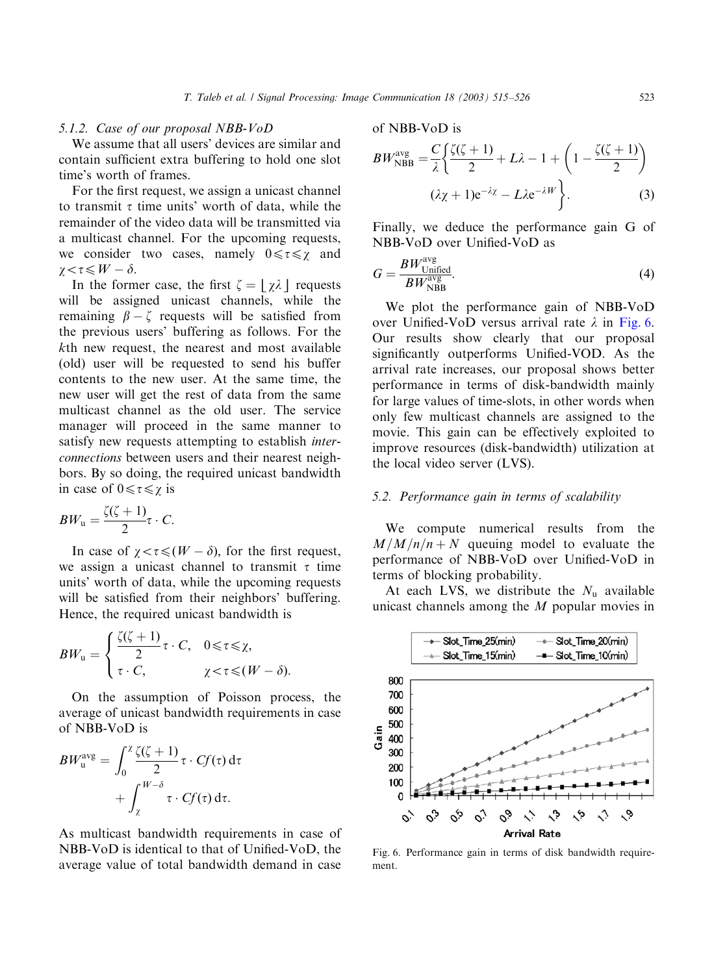#### 5.1.2. Case of our proposal NBB-VoD

We assume that all users' devices are similar and contain sufficient extra buffering to hold one slot time's worth of frames.

For the first request, we assign a unicast channel to transmit  $\tau$  time units' worth of data, while the remainder of the video data will be transmitted via a multicast channel. For the upcoming requests, we consider two cases, namely  $0 \le \tau \le \gamma$  and  $\gamma < \tau \leqslant W - \delta$ .

In the former case, the first  $\zeta = |\chi \lambda|$  requests will be assigned unicast channels, while the remaining  $\beta - \zeta$  requests will be satisfied from the previous users' buffering as follows. For the kth new request, the nearest and most available (old) user will be requested to send his buffer contents to the new user. At the same time, the new user will get the rest of data fromthe same multicast channel as the old user. The service manager will proceed in the same manner to satisfy new requests attempting to establish interconnections between users and their nearest neighbors. By so doing, the required unicast bandwidth in case of  $0 \le \tau \le \chi$  is

$$
BW_{\mathrm{u}} = \frac{\zeta(\zeta+1)}{2}\tau \cdot C.
$$

In case of  $\gamma < \tau \leq (W - \delta)$ , for the first request, we assign a unicast channel to transmit  $\tau$  time units' worth of data, while the upcoming requests will be satisfied from their neighbors' buffering. Hence, the required unicast bandwidth is

$$
BW_{\mathbf{u}} = \begin{cases} \frac{\zeta(\zeta+1)}{2}\tau \cdot C, & 0 \leq \tau \leq \chi, \\ \tau \cdot C, & \chi < \tau \leq (W-\delta). \end{cases}
$$

On the assumption of Poisson process, the average of unicast bandwidth requirements in case of NBB-VoD is

$$
BW_{\mathrm{u}}^{\mathrm{avg}} = \int_0^\chi \frac{\zeta(\zeta+1)}{2} \tau \cdot Cf(\tau) d\tau + \int_{\chi}^{W-\delta} \tau \cdot Cf(\tau) d\tau.
$$

As multicast bandwidth requirements in case of NBB-VoD is identical to that of Unified-VoD, the average value of total bandwidth demand in case

of NBB-VoD is

$$
BW_{\text{NBB}}^{\text{avg}} = \frac{C}{\lambda} \left\{ \frac{\zeta(\zeta+1)}{2} + L\lambda - 1 + \left( 1 - \frac{\zeta(\zeta+1)}{2} \right) \right.
$$
  

$$
(\lambda \chi + 1) e^{-\lambda \chi} - L\lambda e^{-\lambda W} \left\}.
$$
 (3)

Finally, we deduce the performance gain G of NBB-VoD over Unified-VoD as

$$
G = \frac{BW_{\text{Unified}}^{\text{avg}}}{BW_{\text{NBB}}^{\text{avg}}}.\tag{4}
$$

We plot the performance gain of NBB-VoD over Unified-VoD versus arrival rate  $\lambda$  in Fig. 6. Our results show clearly that our proposal significantly outperforms Unified-VOD. As the arrival rate increases, our proposal shows better performance in terms of disk-bandwidth mainly for large values of time-slots, in other words when only few multicast channels are assigned to the movie. This gain can be effectively exploited to improve resources (disk-bandwidth) utilization at the local video server (LVS).

## 5.2. Performance gain in terms of scalability

We compute numerical results from the  $M/M/n/n+N$  queuing model to evaluate the performance of NBB-VoD over Unified-VoD in terms of blocking probability.

At each LVS, we distribute the  $N_{\text{u}}$  available unicast channels among the  $M$  popular movies in



Fig. 6. Performance gain in terms of disk bandwidth requirement.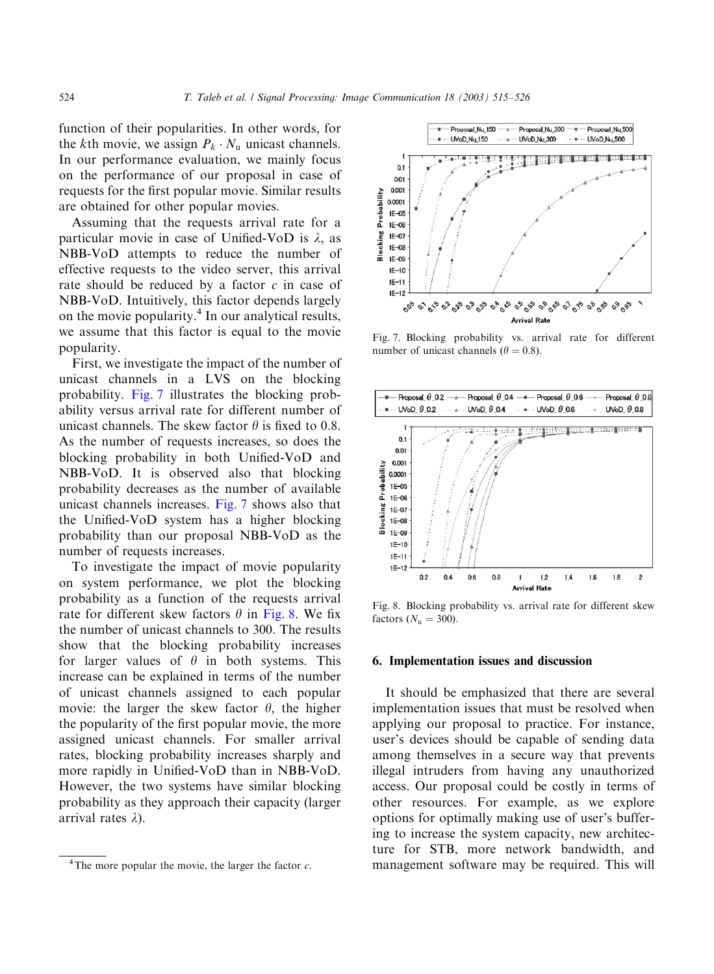function of their popularities. In other words, for the kth movie, we assign  $P_k \cdot N_u$  unicast channels. In our performance evaluation, we mainly focus on the performance of our proposal in case of requests for the first popular movie. Similar results are obtained for other popular movies.

Assuming that the requests arrival rate for a particular movie in case of Unified-VoD is  $\lambda$ , as NBB-VoD attempts to reduce the number of effective requests to the video server, this arrival rate should be reduced by a factor  $c$  in case of NBB-VoD. Intuitively, this factor depends largely on the movie popularity.<sup>4</sup> In our analytical results, we assume that this factor is equal to the movie popularity.

First, we investigate the impact of the number of unicast channels in a LVS on the blocking probability. Fig. 7 illustrates the blocking probability versus arrival rate for different number of unicast channels. The skew factor  $\theta$  is fixed to 0.8. As the number of requests increases, so does the blocking probability in both Unified-VoD and NBB-VoD. It is observed also that blocking probability decreases as the number of available unicast channels increases. Fig. 7 shows also that the Unified-VoD system has a higher blocking probability than our proposal NBB-VoD as the number of requests increases.

To investigate the impact of movie popularity on system performance, we plot the blocking probability as a function of the requests arrival rate for different skew factors  $\theta$  in Fig. 8. We fix the number of unicast channels to 300. The results show that the blocking probability increases for larger values of  $\theta$  in both systems. This increase can be explained in terms of the number of unicast channels assigned to each popular movie: the larger the skew factor  $\theta$ , the higher the popularity of the first popular movie, the more assigned unicast channels. For smaller arrival rates, blocking probability increases sharply and more rapidly in Unified-VoD than in NBB-VoD. However, the two systems have similar blocking probability as they approach their capacity (larger arrival rates  $\lambda$ ).



Fig. 7. Blocking probability vs. arrival rate for different number of unicast channels ( $\theta = 0.8$ ).



Fig. 8. Blocking probability vs. arrival rate for different skew factors  $(N_u = 300)$ .

#### 6. Implementation issues and discussion

It should be emphasized that there are several implementation issues that must be resolved when applying our proposal to practice. For instance, user's devices should be capable of sending data among themselves in a secure way that prevents illegal intruders from having any unauthorized access. Our proposal could be costly in terms of other resources. For example, as we explore options for optimally making use of user's buffering to increase the system capacity, new architecture for STB, more network bandwidth, and management software may be required. This will

<sup>&</sup>lt;sup>4</sup>The more popular the movie, the larger the factor  $c$ .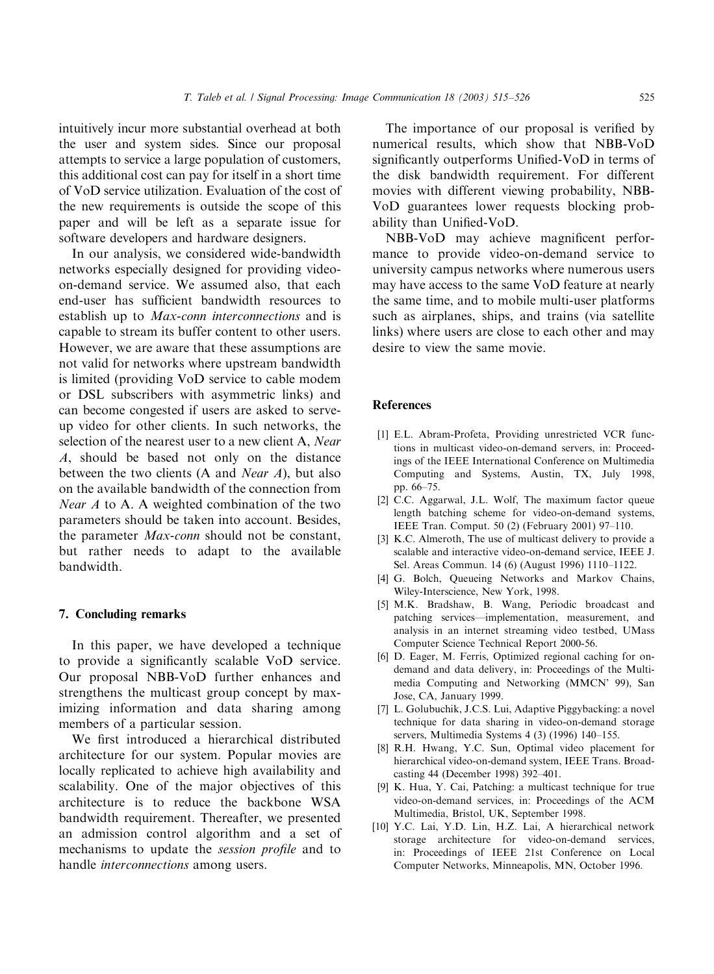intuitively incur more substantial overhead at both the user and system sides. Since our proposal attempts to service a large population of customers, this additional cost can pay for itself in a short time of VoD service utilization. Evaluation of the cost of the new requirements is outside the scope of this paper and will be left as a separate issue for software developers and hardware designers.

In our analysis, we considered wide-bandwidth networks especially designed for providing videoon-demand service. We assumed also, that each end-user has sufficient bandwidth resources to establish up to Max-conn interconnections and is capable to streamits buffer content to other users. However, we are aware that these assumptions are not valid for networks where upstreambandwidth is limited (providing VoD service to cable modem or DSL subscribers with asymmetric links) and can become congested if users are asked to serveup video for other clients. In such networks, the selection of the nearest user to a new client A, Near A, should be based not only on the distance between the two clients  $(A \text{ and } Near A)$ , but also on the available bandwidth of the connection from Near A to A. A weighted combination of the two parameters should be taken into account. Besides, the parameter Max-conn should not be constant, but rather needs to adapt to the available bandwidth.

## 7. Concluding remarks

In this paper, we have developed a technique to provide a significantly scalable VoD service. Our proposal NBB-VoD further enhances and strengthens the multicast group concept by maximizing information and data sharing among members of a particular session.

We first introduced a hierarchical distributed architecture for our system. Popular movies are locally replicated to achieve high availability and scalability. One of the major objectives of this architecture is to reduce the backbone WSA bandwidth requirement. Thereafter, we presented an admission control algorithm and a set of mechanisms to update the session profile and to handle interconnections among users.

The importance of our proposal is verified by numerical results, which show that NBB-VoD significantly outperforms Unified-VoD in terms of the disk bandwidth requirement. For different movies with different viewing probability, NBB-VoD guarantees lower requests blocking probability than Unified-VoD.

NBB-VoD may achieve magnificent performance to provide video-on-demand service to university campus networks where numerous users may have access to the same VoD feature at nearly the same time, and to mobile multi-user platforms such as airplanes, ships, and trains (via satellite links) where users are close to each other and may desire to view the same movie.

## References

- [1] E.L. Abram-Profeta, Providing unrestricted VCR functions in multicast video-on-demand servers, in: Proceedings of the IEEE International Conference on Multimedia Computing and Systems, Austin, TX, July 1998, pp. 66–75.
- [2] C.C. Aggarwal, J.L. Wolf, The maximum factor queue length batching scheme for video-on-demand systems, IEEE Tran. Comput. 50 (2) (February 2001) 97–110.
- [3] K.C. Almeroth, The use of multicast delivery to provide a scalable and interactive video-on-demand service, IEEE J. Sel. Areas Commun. 14 (6) (August 1996) 1110–1122.
- [4] G. Bolch, Queueing Networks and Markov Chains, Wiley-Interscience, New York, 1998.
- [5] M.K. Bradshaw, B. Wang, Periodic broadcast and patching services—implementation, measurement, and analysis in an internet streaming video testbed, UMass Computer Science Technical Report 2000-56.
- [6] D. Eager, M. Ferris, Optimized regional caching for ondemand and data delivery, in: Proceedings of the Multimedia Computing and Networking (MMCN' 99), San Jose, CA, January 1999.
- [7] L. Golubuchik, J.C.S. Lui, Adaptive Piggybacking: a novel technique for data sharing in video-on-demand storage servers, Multimedia Systems 4 (3) (1996) 140–155.
- [8] R.H. Hwang, Y.C. Sun, Optimal video placement for hierarchical video-on-demand system, IEEE Trans. Broadcasting 44 (December 1998) 392–401.
- [9] K. Hua, Y. Cai, Patching: a multicast technique for true video-on-demand services, in: Proceedings of the ACM Multimedia, Bristol, UK, September 1998.
- [10] Y.C. Lai, Y.D. Lin, H.Z. Lai, A hierarchical network storage architecture for video-on-demand services, in: Proceedings of IEEE 21st Conference on Local Computer Networks, Minneapolis, MN, October 1996.